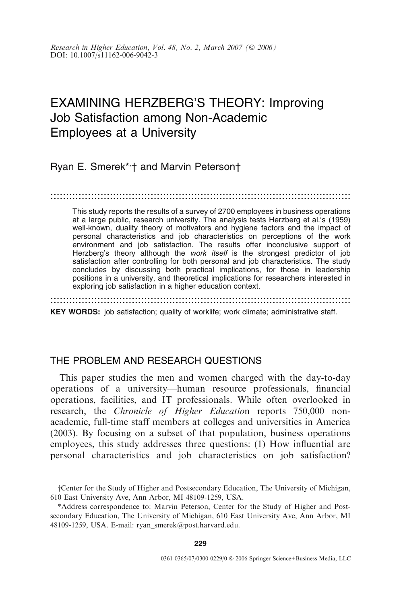## EXAMINING HERZBERG'S THEORY: Improving Job Satisfaction among Non-Academic Employees at a University

Ryan E. Smerek\*<sup>+</sup> and Marvin Peterson†

# ................................................................................................ ................................................................................................

This study reports the results of a survey of 2700 employees in business operations at a large public, research university. The analysis tests Herzberg et al.'s (1959) well-known, duality theory of motivators and hygiene factors and the impact of personal characteristics and job characteristics on perceptions of the work environment and job satisfaction. The results offer inconclusive support of Herzberg's theory although the work itself is the strongest predictor of iob satisfaction after controlling for both personal and job characteristics. The study concludes by discussing both practical implications, for those in leadership positions in a university, and theoretical implications for researchers interested in exploring job satisfaction in a higher education context.

................................................................................................ ................................................................................................

KEY WORDS: job satisfaction; quality of worklife; work climate; administrative staff.

#### THE PROBLEM AND RESEARCH QUESTIONS

This paper studies the men and women charged with the day-to-day operations of a university—human resource professionals, financial operations, facilities, and IT professionals. While often overlooked in research, the *Chronicle of Higher Education* reports 750,000 nonacademic, full-time staff members at colleges and universities in America (2003). By focusing on a subset of that population, business operations employees, this study addresses three questions: (1) How influential are personal characteristics and job characteristics on job satisfaction?

yCenter for the Study of Higher and Postsecondary Education, The University of Michigan, 610 East University Ave, Ann Arbor, MI 48109-1259, USA.

<sup>\*</sup>Address correspondence to: Marvin Peterson, Center for the Study of Higher and Postsecondary Education, The University of Michigan, 610 East University Ave, Ann Arbor, MI 48109-1259, USA. E-mail: ryan\_smerek@post.harvard.edu.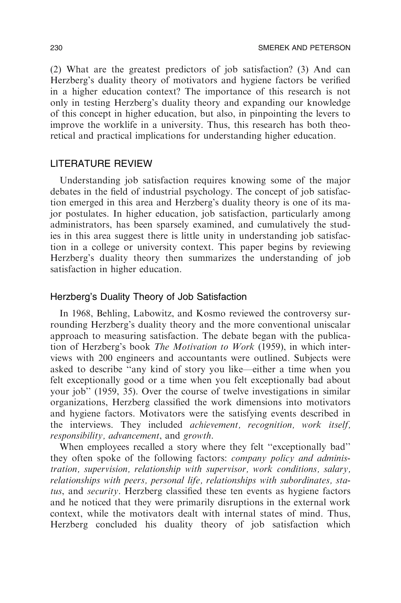(2) What are the greatest predictors of job satisfaction? (3) And can Herzberg's duality theory of motivators and hygiene factors be verified in a higher education context? The importance of this research is not only in testing Herzberg's duality theory and expanding our knowledge of this concept in higher education, but also, in pinpointing the levers to improve the worklife in a university. Thus, this research has both theoretical and practical implications for understanding higher education.

## LITERATURE REVIEW

Understanding job satisfaction requires knowing some of the major debates in the field of industrial psychology. The concept of job satisfaction emerged in this area and Herzberg's duality theory is one of its major postulates. In higher education, job satisfaction, particularly among administrators, has been sparsely examined, and cumulatively the studies in this area suggest there is little unity in understanding job satisfaction in a college or university context. This paper begins by reviewing Herzberg's duality theory then summarizes the understanding of job satisfaction in higher education.

#### Herzberg's Duality Theory of Job Satisfaction

In 1968, Behling, Labowitz, and Kosmo reviewed the controversy surrounding Herzberg's duality theory and the more conventional uniscalar approach to measuring satisfaction. The debate began with the publication of Herzberg's book The Motivation to Work (1959), in which interviews with 200 engineers and accountants were outlined. Subjects were asked to describe ''any kind of story you like—either a time when you felt exceptionally good or a time when you felt exceptionally bad about your job'' (1959, 35). Over the course of twelve investigations in similar organizations, Herzberg classified the work dimensions into motivators and hygiene factors. Motivators were the satisfying events described in the interviews. They included achievement, recognition, work itself, responsibility, advancement, and growth.

When employees recalled a story where they felt ''exceptionally bad'' they often spoke of the following factors: company policy and administration, supervision, relationship with supervisor, work conditions, salary, relationships with peers, personal life, relationships with subordinates, status, and security. Herzberg classified these ten events as hygiene factors and he noticed that they were primarily disruptions in the external work context, while the motivators dealt with internal states of mind. Thus, Herzberg concluded his duality theory of job satisfaction which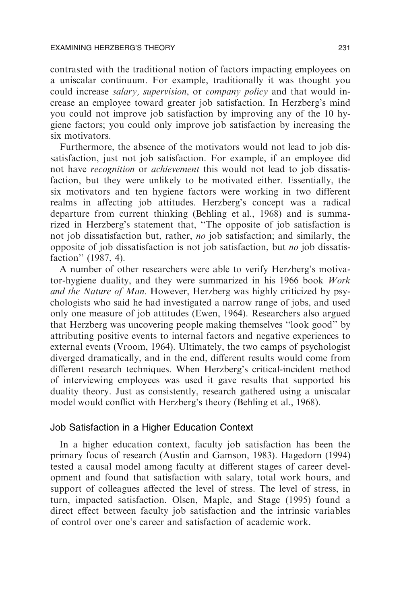contrasted with the traditional notion of factors impacting employees on a uniscalar continuum. For example, traditionally it was thought you could increase salary, supervision, or company policy and that would increase an employee toward greater job satisfaction. In Herzberg's mind you could not improve job satisfaction by improving any of the 10 hygiene factors; you could only improve job satisfaction by increasing the six motivators.

Furthermore, the absence of the motivators would not lead to job dissatisfaction, just not job satisfaction. For example, if an employee did not have recognition or achievement this would not lead to job dissatisfaction, but they were unlikely to be motivated either. Essentially, the six motivators and ten hygiene factors were working in two different realms in affecting job attitudes. Herzberg's concept was a radical departure from current thinking (Behling et al., 1968) and is summarized in Herzberg's statement that, ''The opposite of job satisfaction is not job dissatisfaction but, rather, no job satisfaction; and similarly, the opposite of job dissatisfaction is not job satisfaction, but no job dissatisfaction'' (1987, 4).

A number of other researchers were able to verify Herzberg's motivator-hygiene duality, and they were summarized in his 1966 book Work and the Nature of Man. However, Herzberg was highly criticized by psychologists who said he had investigated a narrow range of jobs, and used only one measure of job attitudes (Ewen, 1964). Researchers also argued that Herzberg was uncovering people making themselves ''look good'' by attributing positive events to internal factors and negative experiences to external events (Vroom, 1964). Ultimately, the two camps of psychologist diverged dramatically, and in the end, different results would come from different research techniques. When Herzberg's critical-incident method of interviewing employees was used it gave results that supported his duality theory. Just as consistently, research gathered using a uniscalar model would conflict with Herzberg's theory (Behling et al., 1968).

#### Job Satisfaction in a Higher Education Context

In a higher education context, faculty job satisfaction has been the primary focus of research (Austin and Gamson, 1983). Hagedorn (1994) tested a causal model among faculty at different stages of career development and found that satisfaction with salary, total work hours, and support of colleagues affected the level of stress. The level of stress, in turn, impacted satisfaction. Olsen, Maple, and Stage (1995) found a direct effect between faculty job satisfaction and the intrinsic variables of control over one's career and satisfaction of academic work.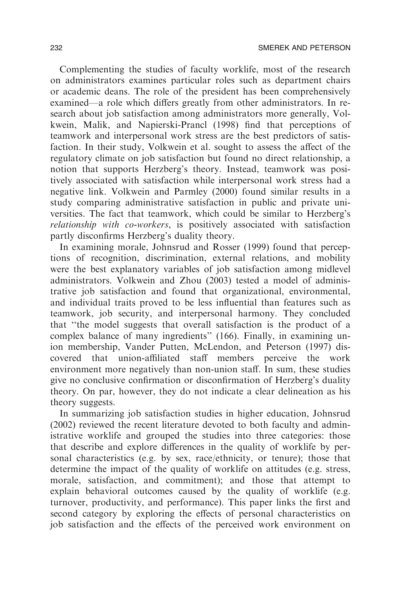Complementing the studies of faculty worklife, most of the research on administrators examines particular roles such as department chairs or academic deans. The role of the president has been comprehensively examined—a role which differs greatly from other administrators. In research about job satisfaction among administrators more generally, Volkwein, Malik, and Napierski-Prancl (1998) find that perceptions of teamwork and interpersonal work stress are the best predictors of satisfaction. In their study, Volkwein et al. sought to assess the affect of the regulatory climate on job satisfaction but found no direct relationship, a notion that supports Herzberg's theory. Instead, teamwork was positively associated with satisfaction while interpersonal work stress had a negative link. Volkwein and Parmley (2000) found similar results in a study comparing administrative satisfaction in public and private universities. The fact that teamwork, which could be similar to Herzberg's relationship with co-workers, is positively associated with satisfaction partly disconfirms Herzberg's duality theory.

In examining morale, Johnsrud and Rosser (1999) found that perceptions of recognition, discrimination, external relations, and mobility were the best explanatory variables of job satisfaction among midlevel administrators. Volkwein and Zhou (2003) tested a model of administrative job satisfaction and found that organizational, environmental, and individual traits proved to be less influential than features such as teamwork, job security, and interpersonal harmony. They concluded that ''the model suggests that overall satisfaction is the product of a complex balance of many ingredients'' (166). Finally, in examining union membership, Vander Putten, McLendon, and Peterson (1997) discovered that union-affiliated staff members perceive the work environment more negatively than non-union staff. In sum, these studies give no conclusive confirmation or disconfirmation of Herzberg's duality theory. On par, however, they do not indicate a clear delineation as his theory suggests.

In summarizing job satisfaction studies in higher education, Johnsrud (2002) reviewed the recent literature devoted to both faculty and administrative worklife and grouped the studies into three categories: those that describe and explore differences in the quality of worklife by personal characteristics (e.g. by sex, race/ethnicity, or tenure); those that determine the impact of the quality of worklife on attitudes (e.g. stress, morale, satisfaction, and commitment); and those that attempt to explain behavioral outcomes caused by the quality of worklife (e.g. turnover, productivity, and performance). This paper links the first and second category by exploring the effects of personal characteristics on job satisfaction and the effects of the perceived work environment on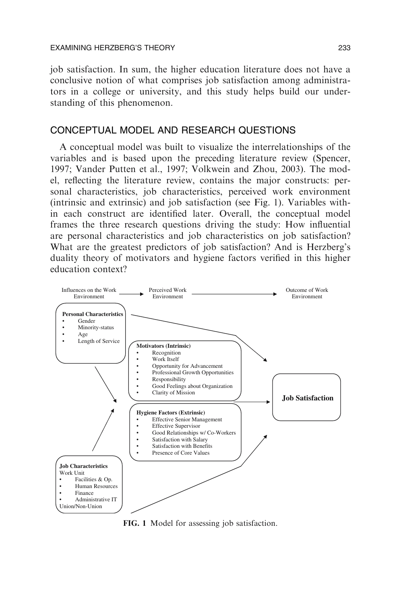job satisfaction. In sum, the higher education literature does not have a conclusive notion of what comprises job satisfaction among administrators in a college or university, and this study helps build our understanding of this phenomenon.

## CONCEPTUAL MODEL AND RESEARCH QUESTIONS

A conceptual model was built to visualize the interrelationships of the variables and is based upon the preceding literature review (Spencer, 1997; Vander Putten et al., 1997; Volkwein and Zhou, 2003). The model, reflecting the literature review, contains the major constructs: personal characteristics, job characteristics, perceived work environment (intrinsic and extrinsic) and job satisfaction (see Fig. 1). Variables within each construct are identified later. Overall, the conceptual model frames the three research questions driving the study: How influential are personal characteristics and job characteristics on job satisfaction? What are the greatest predictors of job satisfaction? And is Herzberg's duality theory of motivators and hygiene factors verified in this higher education context?



FIG. 1 Model for assessing job satisfaction.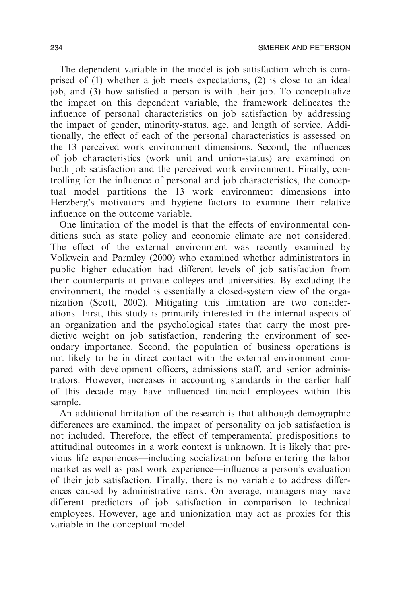The dependent variable in the model is job satisfaction which is comprised of (1) whether a job meets expectations, (2) is close to an ideal job, and (3) how satisfied a person is with their job. To conceptualize the impact on this dependent variable, the framework delineates the influence of personal characteristics on job satisfaction by addressing the impact of gender, minority-status, age, and length of service. Additionally, the effect of each of the personal characteristics is assessed on the 13 perceived work environment dimensions. Second, the influences of job characteristics (work unit and union-status) are examined on both job satisfaction and the perceived work environment. Finally, controlling for the influence of personal and job characteristics, the conceptual model partitions the 13 work environment dimensions into Herzberg's motivators and hygiene factors to examine their relative influence on the outcome variable.

One limitation of the model is that the effects of environmental conditions such as state policy and economic climate are not considered. The effect of the external environment was recently examined by Volkwein and Parmley (2000) who examined whether administrators in public higher education had different levels of job satisfaction from their counterparts at private colleges and universities. By excluding the environment, the model is essentially a closed-system view of the organization (Scott, 2002). Mitigating this limitation are two considerations. First, this study is primarily interested in the internal aspects of an organization and the psychological states that carry the most predictive weight on job satisfaction, rendering the environment of secondary importance. Second, the population of business operations is not likely to be in direct contact with the external environment compared with development officers, admissions staff, and senior administrators. However, increases in accounting standards in the earlier half of this decade may have influenced financial employees within this sample.

An additional limitation of the research is that although demographic differences are examined, the impact of personality on job satisfaction is not included. Therefore, the effect of temperamental predispositions to attitudinal outcomes in a work context is unknown. It is likely that previous life experiences—including socialization before entering the labor market as well as past work experience—influence a person's evaluation of their job satisfaction. Finally, there is no variable to address differences caused by administrative rank. On average, managers may have different predictors of job satisfaction in comparison to technical employees. However, age and unionization may act as proxies for this variable in the conceptual model.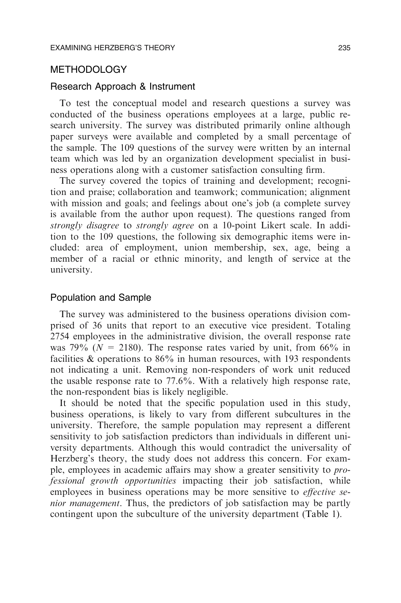#### METHODOLOGY

#### Research Approach & Instrument

To test the conceptual model and research questions a survey was conducted of the business operations employees at a large, public research university. The survey was distributed primarily online although paper surveys were available and completed by a small percentage of the sample. The 109 questions of the survey were written by an internal team which was led by an organization development specialist in business operations along with a customer satisfaction consulting firm.

The survey covered the topics of training and development; recognition and praise; collaboration and teamwork; communication; alignment with mission and goals; and feelings about one's job (a complete survey is available from the author upon request). The questions ranged from strongly disagree to strongly agree on a 10-point Likert scale. In addition to the 109 questions, the following six demographic items were included: area of employment, union membership, sex, age, being a member of a racial or ethnic minority, and length of service at the university.

#### Population and Sample

The survey was administered to the business operations division comprised of 36 units that report to an executive vice president. Totaling 2754 employees in the administrative division, the overall response rate was 79% ( $N = 2180$ ). The response rates varied by unit, from 66% in facilities & operations to 86% in human resources, with 193 respondents not indicating a unit. Removing non-responders of work unit reduced the usable response rate to 77.6%. With a relatively high response rate, the non-respondent bias is likely negligible.

It should be noted that the specific population used in this study, business operations, is likely to vary from different subcultures in the university. Therefore, the sample population may represent a different sensitivity to job satisfaction predictors than individuals in different university departments. Although this would contradict the universality of Herzberg's theory, the study does not address this concern. For example, employees in academic affairs may show a greater sensitivity to professional growth opportunities impacting their job satisfaction, while employees in business operations may be more sensitive to *effective se*nior management. Thus, the predictors of job satisfaction may be partly contingent upon the subculture of the university department (Table 1).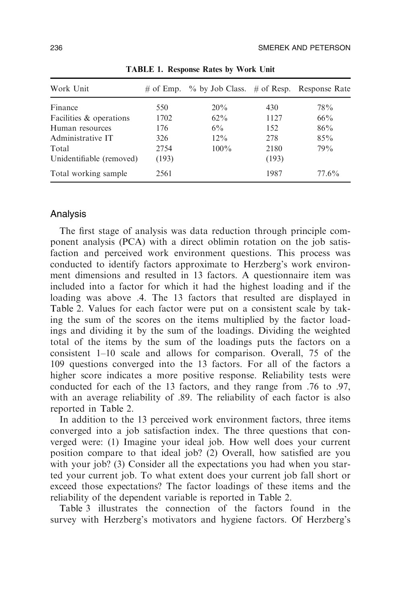| Work Unit                |       | # of Emp. $\%$ by Job Class. # of Resp. Response Rate |       |        |
|--------------------------|-------|-------------------------------------------------------|-------|--------|
| Finance                  | 550   | 20%                                                   | 430   | 78%    |
| Facilities & operations  | 1702  | $62\%$                                                | 1127  | $66\%$ |
| Human resources          | 176   | $6\%$                                                 | 152   | 86%    |
| Administrative IT        | 326   | $12\%$                                                | 278   | 85%    |
| Total                    | 2754  | $100\%$                                               | 2180  | 79%    |
| Unidentifiable (removed) | (193) |                                                       | (193) |        |
| Total working sample     | 2561  |                                                       | 1987  | 77.6%  |

TABLE 1. Response Rates by Work Unit

#### Analysis

The first stage of analysis was data reduction through principle component analysis (PCA) with a direct oblimin rotation on the job satisfaction and perceived work environment questions. This process was conducted to identify factors approximate to Herzberg's work environment dimensions and resulted in 13 factors. A questionnaire item was included into a factor for which it had the highest loading and if the loading was above .4. The 13 factors that resulted are displayed in Table 2. Values for each factor were put on a consistent scale by taking the sum of the scores on the items multiplied by the factor loadings and dividing it by the sum of the loadings. Dividing the weighted total of the items by the sum of the loadings puts the factors on a consistent 1–10 scale and allows for comparison. Overall, 75 of the 109 questions converged into the 13 factors. For all of the factors a higher score indicates a more positive response. Reliability tests were conducted for each of the 13 factors, and they range from .76 to .97, with an average reliability of .89. The reliability of each factor is also reported in Table 2.

In addition to the 13 perceived work environment factors, three items converged into a job satisfaction index. The three questions that converged were: (1) Imagine your ideal job. How well does your current position compare to that ideal job? (2) Overall, how satisfied are you with your job? (3) Consider all the expectations you had when you started your current job. To what extent does your current job fall short or exceed those expectations? The factor loadings of these items and the reliability of the dependent variable is reported in Table 2.

Table 3 illustrates the connection of the factors found in the survey with Herzberg's motivators and hygiene factors. Of Herzberg's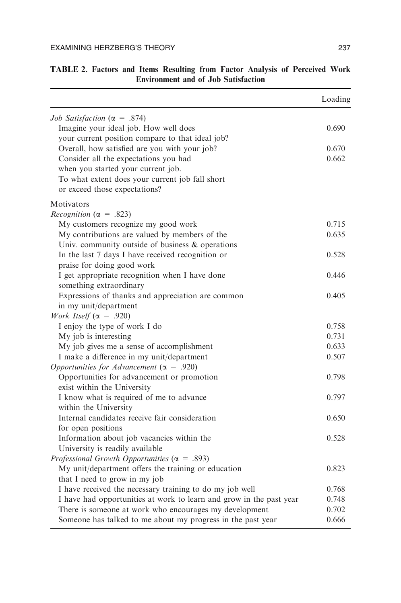|                                                                                                                                 | Loading        |
|---------------------------------------------------------------------------------------------------------------------------------|----------------|
| <i>Job Satisfaction</i> ( $\alpha$ = .874)                                                                                      |                |
| Imagine your ideal job. How well does                                                                                           | 0.690          |
| your current position compare to that ideal job?                                                                                |                |
| Overall, how satisfied are you with your job?                                                                                   | 0.670          |
| Consider all the expectations you had                                                                                           | 0.662          |
| when you started your current job.                                                                                              |                |
| To what extent does your current job fall short                                                                                 |                |
| or exceed those expectations?                                                                                                   |                |
| Motivators                                                                                                                      |                |
| <i>Recognition</i> ( $\alpha$ = .823)                                                                                           |                |
| My customers recognize my good work                                                                                             | 0.715          |
| My contributions are valued by members of the                                                                                   | 0.635          |
| Univ. community outside of business & operations                                                                                |                |
| In the last 7 days I have received recognition or                                                                               | 0.528          |
| praise for doing good work                                                                                                      |                |
| I get appropriate recognition when I have done                                                                                  | 0.446          |
| something extraordinary                                                                                                         |                |
| Expressions of thanks and appreciation are common                                                                               | 0.405          |
| in my unit/department                                                                                                           |                |
| Work Itself ( $\alpha$ = .920)                                                                                                  |                |
| I enjoy the type of work I do                                                                                                   | 0.758          |
| My job is interesting                                                                                                           | 0.731          |
| My job gives me a sense of accomplishment                                                                                       | 0.633          |
| I make a difference in my unit/department                                                                                       | 0.507          |
| Opportunities for Advancement ( $\alpha$ = .920)                                                                                |                |
| Opportunities for advancement or promotion                                                                                      | 0.798          |
| exist within the University                                                                                                     |                |
| I know what is required of me to advance                                                                                        | 0.797          |
| within the University                                                                                                           |                |
| Internal candidates receive fair consideration                                                                                  | 0.650          |
| for open positions                                                                                                              |                |
| Information about job vacancies within the                                                                                      | 0.528          |
| University is readily available                                                                                                 |                |
| Professional Growth Opportunities ( $\alpha$ = .893)                                                                            |                |
| My unit/department offers the training or education                                                                             | 0.823          |
| that I need to grow in my job                                                                                                   |                |
| I have received the necessary training to do my job well<br>I have had opportunities at work to learn and grow in the past year | 0.768          |
|                                                                                                                                 | 0.748<br>0.702 |
| There is someone at work who encourages my development<br>Someone has talked to me about my progress in the past year           | 0.666          |
|                                                                                                                                 |                |

## TABLE 2. Factors and Items Resulting from Factor Analysis of Perceived Work Environment and of Job Satisfaction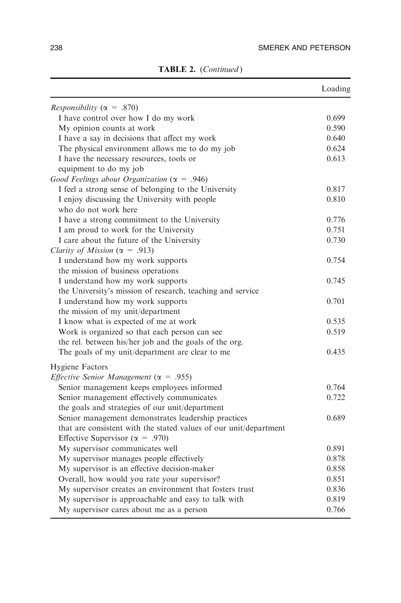|                                                                   | Loading        |
|-------------------------------------------------------------------|----------------|
| <i>Responsibility</i> ( $\alpha$ = .870)                          |                |
| I have control over how I do my work                              | 0.699          |
| My opinion counts at work                                         | 0.590          |
| I have a say in decisions that affect my work                     | 0.640          |
| The physical environment allows me to do my job                   | 0.624          |
| I have the necessary resources, tools or                          | 0.613          |
| equipment to do my job                                            |                |
| Good Feelings about Organization ( $\alpha$ = .946)               |                |
| I feel a strong sense of belonging to the University              | 0.817          |
| I enjoy discussing the University with people                     | 0.810          |
| who do not work here                                              |                |
| I have a strong commitment to the University                      | 0.776          |
| I am proud to work for the University                             | 0.751          |
| I care about the future of the University                         | 0.730          |
| Clarity of Mission ( $\alpha$ = .913)                             |                |
| I understand how my work supports                                 | 0.754          |
| the mission of business operations                                |                |
| I understand how my work supports                                 | 0.745          |
| the University's mission of research, teaching and service        |                |
| I understand how my work supports                                 | 0.701          |
| the mission of my unit/department                                 |                |
| I know what is expected of me at work                             | 0.535          |
| Work is organized so that each person can see                     | 0.519          |
| the rel. between his/her job and the goals of the org.            |                |
| The goals of my unit/department are clear to me                   | 0.435          |
|                                                                   |                |
| <b>Hygiene Factors</b>                                            |                |
| <i>Effective Senior Management</i> ( $\alpha$ = .955)             |                |
| Senior management keeps employees informed                        | 0.764<br>0.722 |
| Senior management effectively communicates                        |                |
| the goals and strategies of our unit/department                   |                |
| Senior management demonstrates leadership practices               | 0.689          |
| that are consistent with the stated values of our unit/department |                |
| Effective Supervisor ( $\alpha$ = .970)                           |                |
| My supervisor communicates well                                   | 0.891          |
| My supervisor manages people effectively                          | 0.878          |
| My supervisor is an effective decision-maker                      | 0.858          |
| Overall, how would you rate your supervisor?                      | 0.851          |
| My supervisor creates an environment that fosters trust           | 0.836          |
| My supervisor is approachable and easy to talk with               | 0.819          |
| My supervisor cares about me as a person                          | 0.766          |

TABLE 2. (Continued)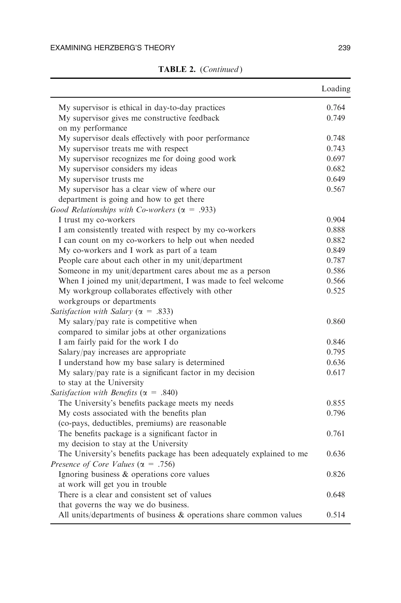|                                                                       | Loading |
|-----------------------------------------------------------------------|---------|
| My supervisor is ethical in day-to-day practices                      | 0.764   |
| My supervisor gives me constructive feedback                          | 0.749   |
| on my performance                                                     |         |
| My supervisor deals effectively with poor performance                 | 0.748   |
| My supervisor treats me with respect                                  | 0.743   |
| My supervisor recognizes me for doing good work                       | 0.697   |
| My supervisor considers my ideas                                      | 0.682   |
| My supervisor trusts me                                               | 0.649   |
| My supervisor has a clear view of where our                           | 0.567   |
| department is going and how to get there                              |         |
| Good Relationships with Co-workers ( $\alpha$ = .933)                 |         |
| I trust my co-workers                                                 | 0.904   |
| I am consistently treated with respect by my co-workers               | 0.888   |
| I can count on my co-workers to help out when needed                  | 0.882   |
| My co-workers and I work as part of a team                            | 0.849   |
| People care about each other in my unit/department                    | 0.787   |
| Someone in my unit/department cares about me as a person              | 0.586   |
| When I joined my unit/department, I was made to feel welcome          | 0.566   |
| My workgroup collaborates effectively with other                      | 0.525   |
| workgroups or departments                                             |         |
| Satisfaction with Salary ( $\alpha$ = .833)                           |         |
| My salary/pay rate is competitive when                                | 0.860   |
| compared to similar jobs at other organizations                       |         |
| I am fairly paid for the work I do                                    | 0.846   |
| Salary/pay increases are appropriate                                  | 0.795   |
| I understand how my base salary is determined                         | 0.636   |
| My salary/pay rate is a significant factor in my decision             | 0.617   |
| to stay at the University                                             |         |
| Satisfaction with Benefits ( $\alpha$ = .840)                         |         |
| The University's benefits package meets my needs                      | 0.855   |
| My costs associated with the benefits plan                            | 0.796   |
| (co-pays, deductibles, premiums) are reasonable                       |         |
| The benefits package is a significant factor in                       | 0.761   |
| my decision to stay at the University                                 |         |
| The University's benefits package has been adequately explained to me | 0.636   |
|                                                                       |         |
| Presence of Core Values ( $\alpha$ = .756)                            |         |
| Ignoring business & operations core values                            | 0.826   |
| at work will get you in trouble                                       |         |
| There is a clear and consistent set of values                         | 0.648   |
| that governs the way we do business.                                  |         |
| All units/departments of business & operations share common values    | 0.514   |

TABLE 2. (Continued)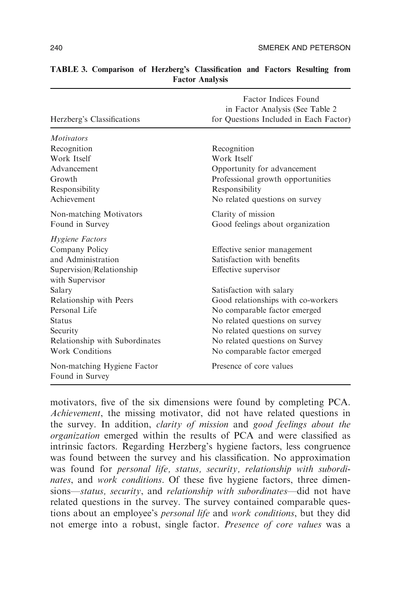| Herzberg's Classifications                     | Factor Indices Found<br>in Factor Analysis (See Table 2<br>for Questions Included in Each Factor) |
|------------------------------------------------|---------------------------------------------------------------------------------------------------|
| <i>Motivators</i>                              |                                                                                                   |
| Recognition                                    | Recognition                                                                                       |
| Work Itself                                    | Work Itself                                                                                       |
| Advancement                                    | Opportunity for advancement                                                                       |
| Growth                                         | Professional growth opportunities                                                                 |
| Responsibility                                 | Responsibility                                                                                    |
| Achievement                                    | No related questions on survey                                                                    |
| Non-matching Motivators                        | Clarity of mission                                                                                |
| Found in Survey                                | Good feelings about organization                                                                  |
| <b>Hygiene Factors</b>                         |                                                                                                   |
| Company Policy                                 | Effective senior management                                                                       |
| and Administration                             | Satisfaction with benefits                                                                        |
| Supervision/Relationship                       | Effective supervisor                                                                              |
| with Supervisor                                |                                                                                                   |
| Salary                                         | Satisfaction with salary                                                                          |
| Relationship with Peers                        | Good relationships with co-workers                                                                |
| Personal Life                                  | No comparable factor emerged                                                                      |
| Status                                         | No related questions on survey                                                                    |
| Security                                       | No related questions on survey                                                                    |
| Relationship with Subordinates                 | No related questions on Survey                                                                    |
| Work Conditions                                | No comparable factor emerged                                                                      |
| Non-matching Hygiene Factor<br>Found in Survey | Presence of core values                                                                           |

#### TABLE 3. Comparison of Herzberg's Classification and Factors Resulting from Factor Analysis

motivators, five of the six dimensions were found by completing PCA. Achievement, the missing motivator, did not have related questions in the survey. In addition, clarity of mission and good feelings about the organization emerged within the results of PCA and were classified as intrinsic factors. Regarding Herzberg's hygiene factors, less congruence was found between the survey and his classification. No approximation was found for personal life, status, security, relationship with subordinates, and work conditions. Of these five hygiene factors, three dimensions—status, security, and relationship with subordinates—did not have related questions in the survey. The survey contained comparable questions about an employee's personal life and work conditions, but they did not emerge into a robust, single factor. Presence of core values was a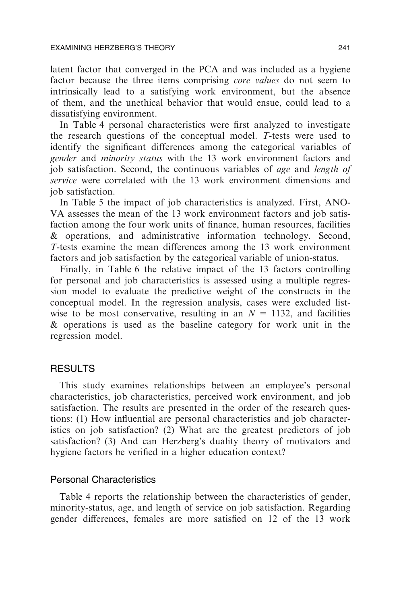latent factor that converged in the PCA and was included as a hygiene factor because the three items comprising core values do not seem to intrinsically lead to a satisfying work environment, but the absence of them, and the unethical behavior that would ensue, could lead to a dissatisfying environment.

In Table 4 personal characteristics were first analyzed to investigate the research questions of the conceptual model. T-tests were used to identify the significant differences among the categorical variables of gender and minority status with the 13 work environment factors and job satisfaction. Second, the continuous variables of age and length of service were correlated with the 13 work environment dimensions and job satisfaction.

In Table 5 the impact of job characteristics is analyzed. First, ANO-VA assesses the mean of the 13 work environment factors and job satisfaction among the four work units of finance, human resources, facilities & operations, and administrative information technology. Second, T-tests examine the mean differences among the 13 work environment factors and job satisfaction by the categorical variable of union-status.

Finally, in Table 6 the relative impact of the 13 factors controlling for personal and job characteristics is assessed using a multiple regression model to evaluate the predictive weight of the constructs in the conceptual model. In the regression analysis, cases were excluded listwise to be most conservative, resulting in an  $N = 1132$ , and facilities & operations is used as the baseline category for work unit in the regression model.

## RESULTS

This study examines relationships between an employee's personal characteristics, job characteristics, perceived work environment, and job satisfaction. The results are presented in the order of the research questions: (1) How influential are personal characteristics and job characteristics on job satisfaction? (2) What are the greatest predictors of job satisfaction? (3) And can Herzberg's duality theory of motivators and hygiene factors be verified in a higher education context?

#### Personal Characteristics

Table 4 reports the relationship between the characteristics of gender, minority-status, age, and length of service on job satisfaction. Regarding gender differences, females are more satisfied on 12 of the 13 work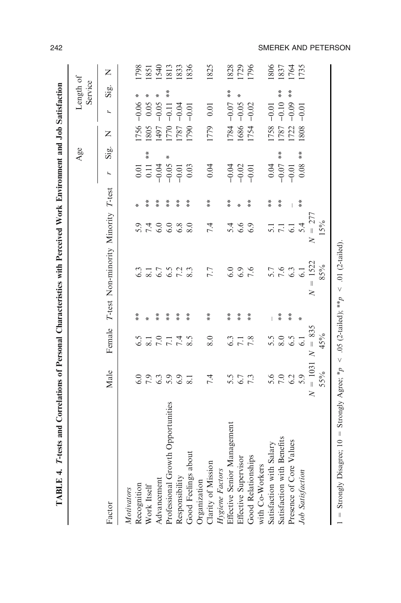|                                   |                    |                  |               |                                            |                  |               | Age                      |      | Length of<br>Service |      |
|-----------------------------------|--------------------|------------------|---------------|--------------------------------------------|------------------|---------------|--------------------------|------|----------------------|------|
| Factor                            | Male               |                  |               | Female T-test Non-minority Minority T-test |                  |               | Sig.<br>r.               | z    | Sig.<br>r,           | z    |
| Motivators                        |                    |                  |               |                                            |                  |               |                          |      |                      |      |
| Recognition                       | 6.0                | 6.5              | **            |                                            | 5.9              |               | 0.01                     | 1756 | ₩<br>$-0.06$         | 1798 |
| Work Itself                       | 7.9                |                  |               | $8.1\,$                                    | 7.4              | **            | **<br>0.11               | 1805 | 0.05                 | 1851 |
| Advancement                       | 6.3                | 7.0              | **            | 6.7                                        | 6.0              | $\frac{*}{*}$ | $-0.04$                  | 497  | $-0.05$              | 1540 |
| Professional Growth Opportunities | 5.9                | $\overline{7.1}$ | **            | 6.5                                        | 6.0              | $\frac{*}{*}$ | ×<br>$-0.05$             | 1770 | **<br>$-0.11$        | 1813 |
| Responsibility                    | 6.9                | 7.4              |               | 7.2                                        | 6.8              |               | $-0.01$                  | 1787 | $-0.04$              | 1833 |
| Good Feelings about               |                    |                  |               | 8.3                                        | 8.0              | $\frac{*}{*}$ | 0.03                     | 1790 | $-0.01$              | 1836 |
| Organization                      |                    |                  |               |                                            |                  |               |                          |      |                      |      |
| Clarity of Mission                | 7.4                | 8.0              | **            | 7.7                                        | 7.4              | $\frac{*}{*}$ | 0.04                     | 1779 | 0.01                 | 1825 |
| Hygiene Factors                   |                    |                  |               |                                            |                  |               |                          |      |                      |      |
| Effective Senior Management       | 5.5                |                  | $\frac{*}{*}$ | 6.0                                        | 5.4              | $\frac{*}{*}$ | $-0.04$                  | 1784 | **<br>$-0.07$        | 1828 |
| Effective Supervisor              | $6.7$              | $\overline{7.1}$ | **            | 6.9                                        | 6.6              |               | $-0.02$                  | 1686 | $-0.05$              | 1729 |
| Good Relationships                | 7.3                | 7.8              | **            | 7.6                                        | 6.9              | **            | $-0.01$                  | 1754 | $-0.02$              | 1796 |
| with Co-Workers                   |                    |                  |               |                                            |                  |               |                          |      |                      |      |
| Satisfaction with Salary          | 5.6                | 5.5              |               | 5.7                                        |                  | **            | 0.04                     | 1758 | $-0.01$              | 1806 |
| Satisfaction with Benefits        | 7.0                | 8.0              |               | 7.6                                        | $\overline{7.1}$ | $\frac{*}{*}$ | $\frac{*}{*}$<br>$-0.07$ | 1787 | **<br>$-0.10$        | 1837 |
| Presence of Core Values           | 6.2                | 6.5              | $* *$         | 6.3                                        | 6.1              |               | $-0.01$                  | 1722 | **<br>$-0.09$        | 1764 |
| Job Satisfaction                  | 5.9                | $\overline{61}$  |               | 61                                         | 5.4              | $\frac{*}{*}$ | $\overset{*}{*}$<br>0.08 | 1808 | $-0.01$              | 1735 |
|                                   | $N = 1031 N = 835$ |                  |               | $= 1522$<br>$\geq$                         | $N = 277$        |               |                          |      |                      |      |
|                                   | 55%                | 45%              |               | 85%                                        | 15%              |               |                          |      |                      |      |

## 242 SMEREK AND PETERSON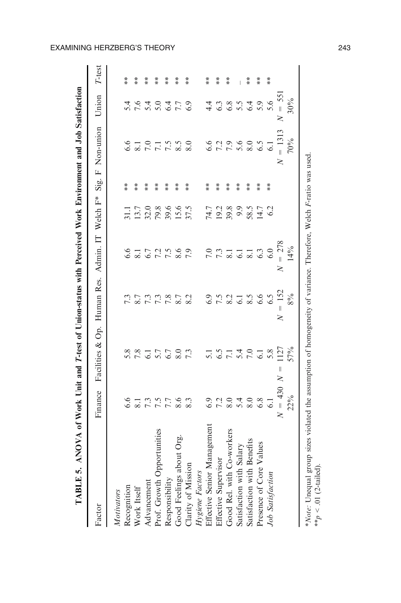| A Dana                          |  |
|---------------------------------|--|
|                                 |  |
| .<br>,<br>l'Union-status v      |  |
| $\mathbf{I}$<br>ļ               |  |
|                                 |  |
|                                 |  |
|                                 |  |
|                                 |  |
|                                 |  |
| TABLE 5. ANOVA of Work Unit and |  |
|                                 |  |
|                                 |  |
|                                 |  |

| Factor                      |                  | Finance Facilities & Op. Human Res. Admin. IT Welch F* Sig. F Non-union Union T-test |                   |                                                                       |              |                   |                          |                |               |
|-----------------------------|------------------|--------------------------------------------------------------------------------------|-------------------|-----------------------------------------------------------------------|--------------|-------------------|--------------------------|----------------|---------------|
| Motivators                  |                  |                                                                                      |                   |                                                                       |              |                   |                          |                |               |
| Recognition                 | 6.6              |                                                                                      |                   |                                                                       |              | $\frac{*}{*}$     | 6.6                      |                | $\frac{1}{2}$ |
| Work Itself                 | $\overline{8.1}$ | 7.8                                                                                  |                   |                                                                       | 31.1<br>13.7 | $*$               | $\overline{\phantom{0}}$ |                | $*$           |
| Advancement                 | 7.3              | $\overline{61}$                                                                      | 7.3               |                                                                       |              | $\frac{*}{*}$     | 7.0                      |                | $\frac{*}{*}$ |
| Prof. Growth Opportunities  | 7.5              |                                                                                      | 7.3               |                                                                       | 32.0         | $\frac{*}{*}$     | $\overline{7.1}$         |                | $\frac{*}{*}$ |
| Responsibility              | 7.7              | 5.7<br>6.7                                                                           | 7.8               |                                                                       | 39.6         | $\frac{*}{*}$     | 7.5                      | とうせいひこく せんせいせい | $\frac{*}{*}$ |
| Good Feelings about         | 8.6              | 8.0                                                                                  | 8.7               |                                                                       | 15.6<br>37.5 | $\frac{*}{*}$     | 8.5                      |                | $*$           |
| Clarity of Mission          | 8.3              | 7.3                                                                                  | 8.2               | 7.9                                                                   |              | $\frac{*}{*}$     | 8.0                      | 6.9            | $\frac{*}{*}$ |
| Hygiene Factors             |                  |                                                                                      |                   |                                                                       |              |                   |                          |                |               |
| Effective Senior Management | 6.9              | $\overline{51}$                                                                      | 6.9               |                                                                       |              | $\frac{*}{*}$     |                          | $4\cdot$       | $\frac{*}{*}$ |
| Effective Supervisor        | 7.2              | 6.5                                                                                  | 7.5               | 7.3                                                                   | 74.7<br>19.2 | $\frac{*}{*}$     | 7.2                      | 6.3            | $\frac{*}{*}$ |
| Good Rel. with Co-workers   | 8.0              | $\overline{7.1}$                                                                     | 8.2               |                                                                       | 39.8         | $\frac{*}{*}$     | 7.9                      | 6.8            | $\frac{*}{*}$ |
| Satisfaction with Salary    | 5.4              | 5.4                                                                                  |                   | $\frac{1}{6}$ $\frac{1}{6}$ $\frac{1}{6}$ $\frac{1}{6}$ $\frac{1}{6}$ |              | $\stackrel{*}{*}$ | 5.6                      | 5.5            | Ï             |
| Satisfaction with Benefits  | 8.0              | 7.0                                                                                  | $6.1$<br>8.5      |                                                                       | 9.9<br>58.5  | $\frac{*}{*}$     | 8.0                      | 6.4            | $\frac{*}{*}$ |
| Presence of Core Values     | 6.8              | $\overline{61}$                                                                      | 6.6               |                                                                       | 14.7         | $\frac{*}{*}$     | 6.5                      | 5.9            | $\frac{*}{*}$ |
| Job Satisfaction            | 5                | 5.8                                                                                  | 6.5               | 6.0                                                                   | 6.2          | $\frac{*}{*}$     |                          |                | $\frac{*}{*}$ |
|                             | $N = 430$        | 127<br>$\parallel$<br>$\geq$                                                         | $= 152$<br>$\geq$ | $= 278$<br>$\geq$                                                     |              |                   | $N = 1313$               | $N = 55$       |               |
|                             | 22%              | $57\%$                                                                               | 8%                | $^{0/6}$                                                              |              |                   | 70%                      | 30%            |               |
|                             |                  |                                                                                      |                   |                                                                       |              |                   |                          |                |               |

\**Note*: Unequal group sizes violated the assumption of homogeneity of variance. Therefore, Welch *F*-ratio was used.<br>\*\*p < .01 (2-tailed). F-ratio was used. \*Note: Unequal group sizes violated the assumption of homogeneity of variance. Therefore, Welch \*\* $p < .01$  (2-tailed).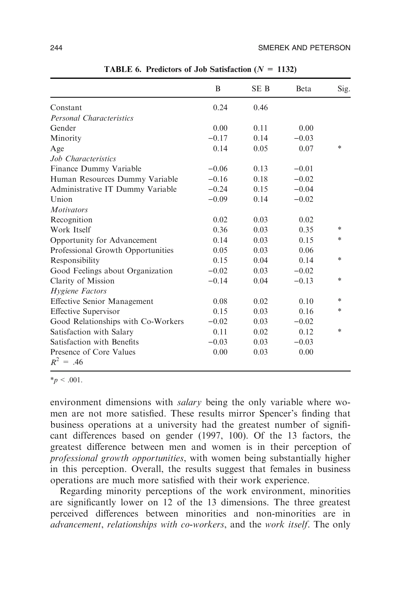|                                        | B       | SE B | Beta    | Sig. |
|----------------------------------------|---------|------|---------|------|
| Constant                               | 0.24    | 0.46 |         |      |
| <b>Personal Characteristics</b>        |         |      |         |      |
| Gender                                 | 0.00    | 0.11 | 0.00    |      |
| Minority                               | $-0.17$ | 0.14 | $-0.03$ |      |
| Age                                    | 0.14    | 0.05 | 0.07    | $*$  |
| <b>Job Characteristics</b>             |         |      |         |      |
| Finance Dummy Variable                 | $-0.06$ | 0.13 | $-0.01$ |      |
| Human Resources Dummy Variable         | $-0.16$ | 0.18 | $-0.02$ |      |
| Administrative IT Dummy Variable       | $-0.24$ | 0.15 | $-0.04$ |      |
| Union                                  | $-0.09$ | 0.14 | $-0.02$ |      |
| <b>Motivators</b>                      |         |      |         |      |
| Recognition                            | 0.02    | 0.03 | 0.02    |      |
| Work Itself                            | 0.36    | 0.03 | 0.35    | *    |
| Opportunity for Advancement            | 0.14    | 0.03 | 0.15    | *    |
| Professional Growth Opportunities      | 0.05    | 0.03 | 0.06    |      |
| Responsibility                         | 0.15    | 0.04 | 0.14    | *    |
| Good Feelings about Organization       | $-0.02$ | 0.03 | $-0.02$ |      |
| Clarity of Mission                     | $-0.14$ | 0.04 | $-0.13$ | *    |
| <b>Hygiene Factors</b>                 |         |      |         |      |
| <b>Effective Senior Management</b>     | 0.08    | 0.02 | 0.10    | *    |
| <b>Effective Supervisor</b>            | 0.15    | 0.03 | 0.16    | *    |
| Good Relationships with Co-Workers     | $-0.02$ | 0.03 | $-0.02$ |      |
| Satisfaction with Salary               | 0.11    | 0.02 | 0.12    | *    |
| Satisfaction with Benefits             | $-0.03$ | 0.03 | $-0.03$ |      |
| Presence of Core Values<br>$R^2 = .46$ | 0.00    | 0.03 | 0.00    |      |

TABLE 6. Predictors of Job Satisfaction ( $N = 1132$ )

 $*_p$  < .001.

environment dimensions with salary being the only variable where women are not more satisfied. These results mirror Spencer's finding that business operations at a university had the greatest number of significant differences based on gender (1997, 100). Of the 13 factors, the greatest difference between men and women is in their perception of professional growth opportunities, with women being substantially higher in this perception. Overall, the results suggest that females in business operations are much more satisfied with their work experience.

Regarding minority perceptions of the work environment, minorities are significantly lower on 12 of the 13 dimensions. The three greatest perceived differences between minorities and non-minorities are in advancement, relationships with co-workers, and the work itself. The only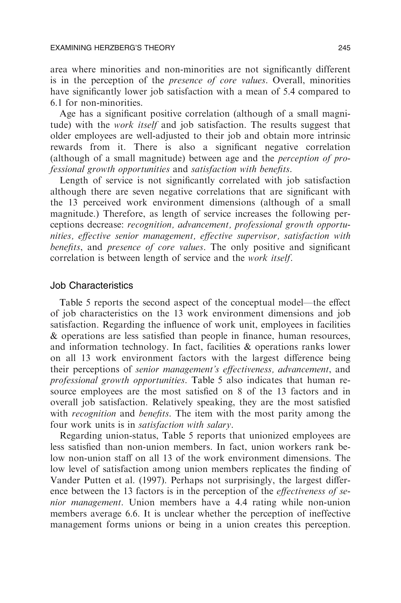area where minorities and non-minorities are not significantly different is in the perception of the presence of core values. Overall, minorities have significantly lower job satisfaction with a mean of 5.4 compared to 6.1 for non-minorities.

Age has a significant positive correlation (although of a small magnitude) with the work itself and job satisfaction. The results suggest that older employees are well-adjusted to their job and obtain more intrinsic rewards from it. There is also a significant negative correlation (although of a small magnitude) between age and the perception of professional growth opportunities and satisfaction with benefits.

Length of service is not significantly correlated with job satisfaction although there are seven negative correlations that are significant with the 13 perceived work environment dimensions (although of a small magnitude.) Therefore, as length of service increases the following perceptions decrease: recognition, advancement, professional growth opportunities, effective senior management, effective supervisor, satisfaction with benefits, and presence of core values. The only positive and significant correlation is between length of service and the work itself.

#### Job Characteristics

Table 5 reports the second aspect of the conceptual model—the effect of job characteristics on the 13 work environment dimensions and job satisfaction. Regarding the influence of work unit, employees in facilities & operations are less satisfied than people in finance, human resources, and information technology. In fact, facilities & operations ranks lower on all 13 work environment factors with the largest difference being their perceptions of senior management's effectiveness, advancement, and professional growth opportunities. Table 5 also indicates that human resource employees are the most satisfied on 8 of the 13 factors and in overall job satisfaction. Relatively speaking, they are the most satisfied with *recognition* and *benefits*. The item with the most parity among the four work units is in satisfaction with salary.

Regarding union-status, Table 5 reports that unionized employees are less satisfied than non-union members. In fact, union workers rank below non-union staff on all 13 of the work environment dimensions. The low level of satisfaction among union members replicates the finding of Vander Putten et al. (1997). Perhaps not surprisingly, the largest difference between the 13 factors is in the perception of the *effectiveness of se*nior management. Union members have a 4.4 rating while non-union members average 6.6. It is unclear whether the perception of ineffective management forms unions or being in a union creates this perception.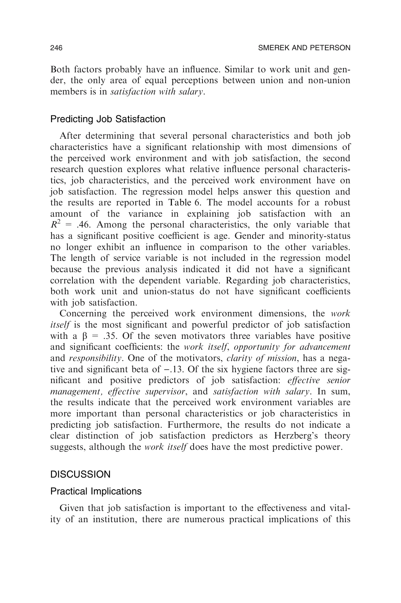Both factors probably have an influence. Similar to work unit and gender, the only area of equal perceptions between union and non-union members is in *satisfaction* with salary.

#### Predicting Job Satisfaction

After determining that several personal characteristics and both job characteristics have a significant relationship with most dimensions of the perceived work environment and with job satisfaction, the second research question explores what relative influence personal characteristics, job characteristics, and the perceived work environment have on job satisfaction. The regression model helps answer this question and the results are reported in Table 6. The model accounts for a robust amount of the variance in explaining job satisfaction with an  $R^2$  = .46. Among the personal characteristics, the only variable that has a significant positive coefficient is age. Gender and minority-status no longer exhibit an influence in comparison to the other variables. The length of service variable is not included in the regression model because the previous analysis indicated it did not have a significant correlation with the dependent variable. Regarding job characteristics, both work unit and union-status do not have significant coefficients with job satisfaction.

Concerning the perceived work environment dimensions, the work itself is the most significant and powerful predictor of job satisfaction with a  $\beta$  = .35. Of the seven motivators three variables have positive and significant coefficients: the work itself, opportunity for advancement and responsibility. One of the motivators, clarity of mission, has a negative and significant beta of  $-.13$ . Of the six hygiene factors three are significant and positive predictors of job satisfaction: effective senior management, effective supervisor, and satisfaction with salary. In sum, the results indicate that the perceived work environment variables are more important than personal characteristics or job characteristics in predicting job satisfaction. Furthermore, the results do not indicate a clear distinction of job satisfaction predictors as Herzberg's theory suggests, although the work itself does have the most predictive power.

#### DISCUSSION

#### Practical Implications

Given that job satisfaction is important to the effectiveness and vitality of an institution, there are numerous practical implications of this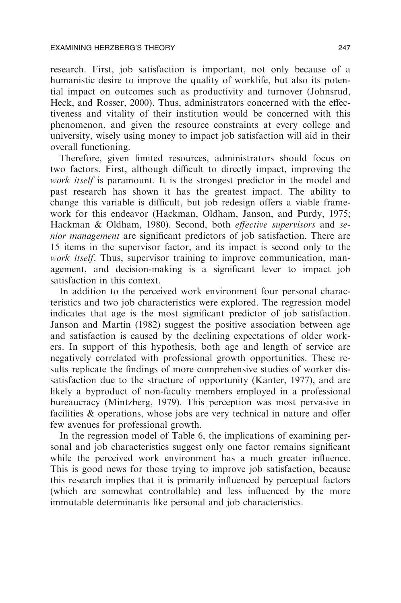research. First, job satisfaction is important, not only because of a humanistic desire to improve the quality of worklife, but also its potential impact on outcomes such as productivity and turnover (Johnsrud, Heck, and Rosser, 2000). Thus, administrators concerned with the effectiveness and vitality of their institution would be concerned with this phenomenon, and given the resource constraints at every college and university, wisely using money to impact job satisfaction will aid in their overall functioning.

Therefore, given limited resources, administrators should focus on two factors. First, although difficult to directly impact, improving the work itself is paramount. It is the strongest predictor in the model and past research has shown it has the greatest impact. The ability to change this variable is difficult, but job redesign offers a viable framework for this endeavor (Hackman, Oldham, Janson, and Purdy, 1975; Hackman & Oldham, 1980). Second, both effective supervisors and senior management are significant predictors of job satisfaction. There are 15 items in the supervisor factor, and its impact is second only to the work *itself*. Thus, supervisor training to improve communication, management, and decision-making is a significant lever to impact job satisfaction in this context.

In addition to the perceived work environment four personal characteristics and two job characteristics were explored. The regression model indicates that age is the most significant predictor of job satisfaction. Janson and Martin (1982) suggest the positive association between age and satisfaction is caused by the declining expectations of older workers. In support of this hypothesis, both age and length of service are negatively correlated with professional growth opportunities. These results replicate the findings of more comprehensive studies of worker dissatisfaction due to the structure of opportunity (Kanter, 1977), and are likely a byproduct of non-faculty members employed in a professional bureaucracy (Mintzberg, 1979). This perception was most pervasive in facilities & operations, whose jobs are very technical in nature and offer few avenues for professional growth.

In the regression model of Table 6, the implications of examining personal and job characteristics suggest only one factor remains significant while the perceived work environment has a much greater influence. This is good news for those trying to improve job satisfaction, because this research implies that it is primarily influenced by perceptual factors (which are somewhat controllable) and less influenced by the more immutable determinants like personal and job characteristics.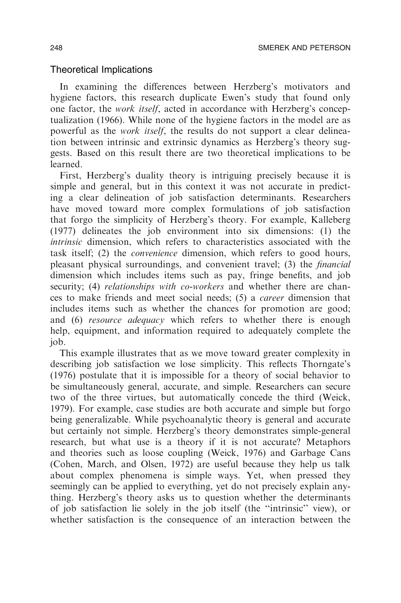#### Theoretical Implications

In examining the differences between Herzberg's motivators and hygiene factors, this research duplicate Ewen's study that found only one factor, the work itself, acted in accordance with Herzberg's conceptualization (1966). While none of the hygiene factors in the model are as powerful as the work itself, the results do not support a clear delineation between intrinsic and extrinsic dynamics as Herzberg's theory suggests. Based on this result there are two theoretical implications to be learned.

First, Herzberg's duality theory is intriguing precisely because it is simple and general, but in this context it was not accurate in predicting a clear delineation of job satisfaction determinants. Researchers have moved toward more complex formulations of job satisfaction that forgo the simplicity of Herzberg's theory. For example, Kalleberg (1977) delineates the job environment into six dimensions: (1) the intrinsic dimension, which refers to characteristics associated with the task itself; (2) the convenience dimension, which refers to good hours, pleasant physical surroundings, and convenient travel; (3) the financial dimension which includes items such as pay, fringe benefits, and job security; (4) *relationships with co-workers* and whether there are chances to make friends and meet social needs; (5) a career dimension that includes items such as whether the chances for promotion are good; and (6) resource adequacy which refers to whether there is enough help, equipment, and information required to adequately complete the job.

This example illustrates that as we move toward greater complexity in describing job satisfaction we lose simplicity. This reflects Thorngate's (1976) postulate that it is impossible for a theory of social behavior to be simultaneously general, accurate, and simple. Researchers can secure two of the three virtues, but automatically concede the third (Weick, 1979). For example, case studies are both accurate and simple but forgo being generalizable. While psychoanalytic theory is general and accurate but certainly not simple. Herzberg's theory demonstrates simple-general research, but what use is a theory if it is not accurate? Metaphors and theories such as loose coupling (Weick, 1976) and Garbage Cans (Cohen, March, and Olsen, 1972) are useful because they help us talk about complex phenomena is simple ways. Yet, when pressed they seemingly can be applied to everything, yet do not precisely explain anything. Herzberg's theory asks us to question whether the determinants of job satisfaction lie solely in the job itself (the ''intrinsic'' view), or whether satisfaction is the consequence of an interaction between the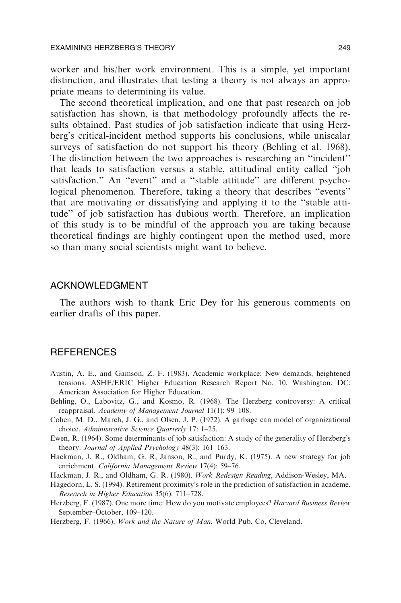worker and his/her work environment. This is a simple, yet important distinction, and illustrates that testing a theory is not always an appropriate means to determining its value.

The second theoretical implication, and one that past research on job satisfaction has shown, is that methodology profoundly affects the results obtained. Past studies of job satisfaction indicate that using Herzberg's critical-incident method supports his conclusions, while uniscalar surveys of satisfaction do not support his theory (Behling et al. 1968). The distinction between the two approaches is researching an ''incident'' that leads to satisfaction versus a stable, attitudinal entity called ''job satisfaction." An "event" and a "stable attitude" are different psychological phenomenon. Therefore, taking a theory that describes ''events'' that are motivating or dissatisfying and applying it to the ''stable attitude'' of job satisfaction has dubious worth. Therefore, an implication of this study is to be mindful of the approach you are taking because theoretical findings are highly contingent upon the method used, more so than many social scientists might want to believe.

#### ACKNOWLEDGMENT

The authors wish to thank Eric Dey for his generous comments on earlier drafts of this paper.

#### **REFERENCES**

- Austin, A. E., and Gamson, Z. F. (1983). Academic workplace: New demands, heightened tensions. ASHE/ERIC Higher Education Research Report No. 10. Washington, DC: American Association for Higher Education.
- Behling, O., Labovitz, G., and Kosmo, R. (1968). The Herzberg controversy: A critical reappraisal. Academy of Management Journal 11(1): 99–108.
- Cohen, M. D., March, J. G., and Olsen, J. P. (1972). A garbage can model of organizational choice. Administrative Science Quarterly 17: 1–25.
- Ewen, R. (1964). Some determinants of job satisfaction: A study of the generality of Herzberg's theory. Journal of Applied Psychology 48(3): 161–163.
- Hackman, J. R., Oldham, G. R, Janson, R., and Purdy, K. (1975). A new strategy for job enrichment. California Management Review 17(4): 59–76.
- Hackman, J. R., and Oldham, G. R. (1980). Work Redesign Reading, Addison-Wesley, MA.
- Hagedorn, L. S. (1994). Retirement proximity's role in the prediction of satisfaction in academe. Research in Higher Education 35(6): 711–728.
- Herzberg, F. (1987). One more time: How do you motivate employees? Harvard Business Review September–October, 109–120.
- Herzberg, F. (1966). Work and the Nature of Man, World Pub. Co, Cleveland.